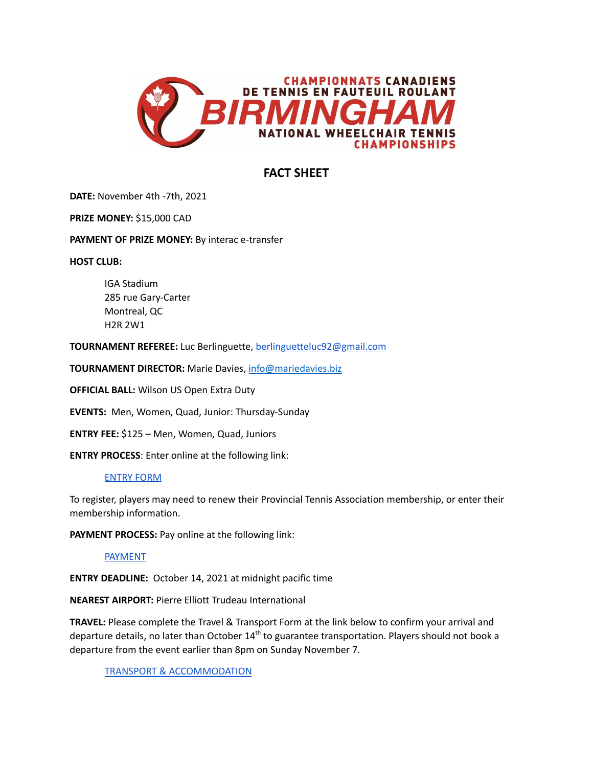

# **FACT SHEET**

**DATE:** November 4th -7th, 2021

**PRIZE MONEY:** \$15,000 CAD

**PAYMENT OF PRIZE MONEY:** By interac e-transfer

**HOST CLUB:**

IGA Stadium 285 rue Gary-Carter Montreal, QC H2R 2W1

**TOURNAMENT REFEREE:** Luc Berlinguette, [berlinguetteluc92@gmail.com](mailto:berlinguetteluc92@gmail.com)

**TOURNAMENT DIRECTOR:** Marie Davies, [info@mariedavies.biz](mailto:info@mariedavies.biz)

**OFFICIAL BALL:** Wilson US Open Extra Duty

**EVENTS:** Men, Women, Quad, Junior: Thursday-Sunday

**ENTRY FEE:** \$125 – Men, Women, Quad, Juniors

**ENTRY PROCESS**: Enter online at the following link:

# [ENTRY](https://tc.tournamentsoftware.com/tournament/B690DE6E-3A55-4449-B9B0-B29719491BBB) FORM

To register, players may need to renew their Provincial Tennis Association membership, or enter their membership information.

**PAYMENT PROCESS:** Pay online at the following link:

# [PAYMENT](https://wheelchairtennis.ca/guest-package)

**ENTRY DEADLINE:** October 14, 2021 at midnight pacific time

**NEAREST AIRPORT:** Pierre Elliott Trudeau International

**TRAVEL:** Please complete the Travel & Transport Form at the link below to confirm your arrival and departure details, no later than October 14<sup>th</sup> to guarantee transportation. Players should not book a departure from the event earlier than 8pm on Sunday November 7.

TRANSPORT & [ACCOMMODATION](https://docs.google.com/forms/d/e/1FAIpQLSes3PEiRm5oNF8SLkgkdm3MA6XGK7L7NMeFfOe5NxiFttbU6w/viewform?usp=sf_link)